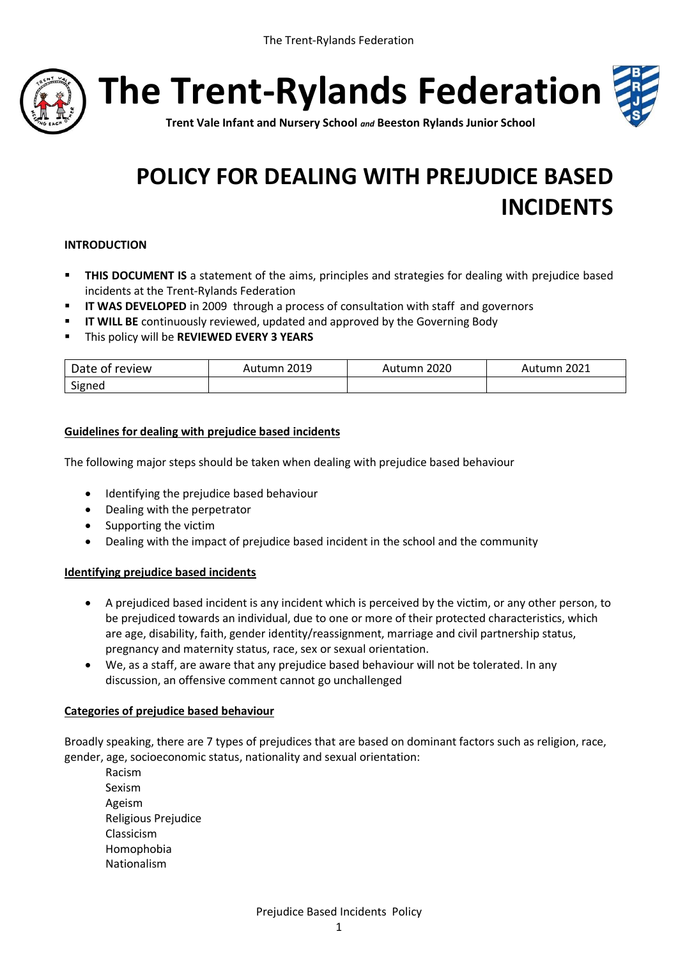

**The Trent-Rylands Federation**



**Trent Vale Infant and Nursery School** *and* **Beeston Rylands Junior School**

# **POLICY FOR DEALING WITH PREJUDICE BASED INCIDENTS**

### **INTRODUCTION**

- **THIS DOCUMENT IS** a statement of the aims, principles and strategies for dealing with prejudice based incidents at the Trent-Rylands Federation
- **IF WAS DEVELOPED** in 2009 through a process of consultation with staff and governors
- **II WILL BE** continuously reviewed, updated and approved by the Governing Body
- This policy will be **REVIEWED EVERY 3 YEARS**

| Date of review | Autumn 2019 | 2020<br>Autumn i | $\cdot$ 2021<br>Autumn |
|----------------|-------------|------------------|------------------------|
| Signed         |             |                  |                        |

## **Guidelines for dealing with prejudice based incidents**

The following major steps should be taken when dealing with prejudice based behaviour

- $\bullet$  Identifying the prejudice based behaviour
- Dealing with the perpetrator
- Supporting the victim
- Dealing with the impact of prejudice based incident in the school and the community

## **Identifying prejudice based incidents**

- A prejudiced based incident is any incident which is perceived by the victim, or any other person, to be prejudiced towards an individual, due to one or more of their protected characteristics, which are age, disability, faith, gender identity/reassignment, marriage and civil partnership status, pregnancy and maternity status, race, sex or sexual orientation.
- We, as a staff, are aware that any prejudice based behaviour will not be tolerated. In any discussion, an offensive comment cannot go unchallenged

## **Categories of prejudice based behaviour**

Broadly speaking, there are 7 types of prejudices that are based on dominant factors such as religion, race, gender, age, socioeconomic status, nationality and sexual orientation:

Racism Sexism Ageism Religious Prejudice Classicism Homophobia Nationalism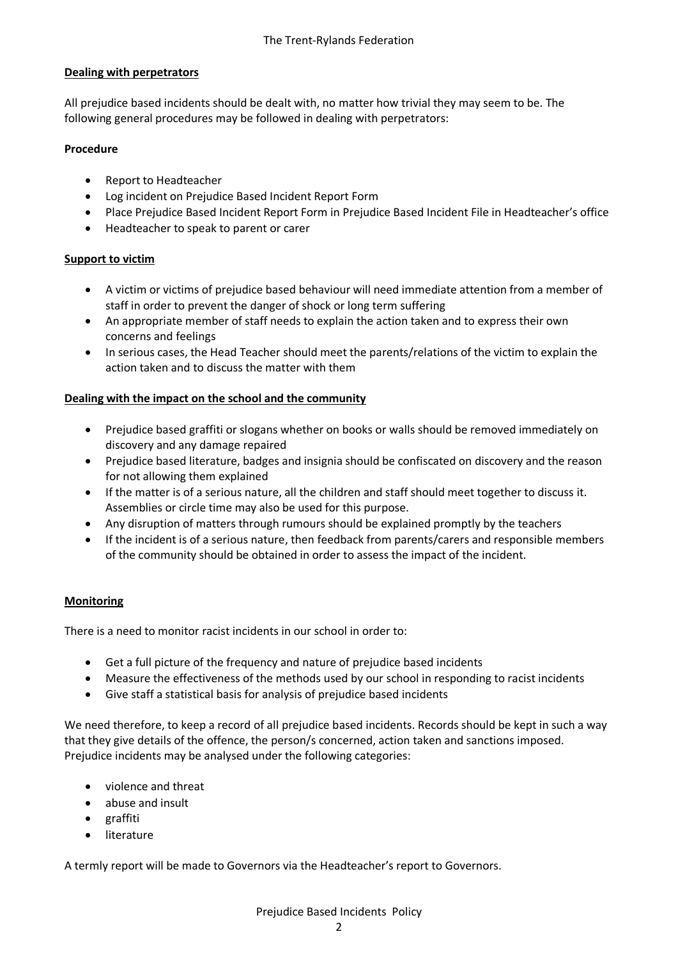## **Dealing with perpetrators**

All prejudice based incidents should be dealt with, no matter how trivial they may seem to be. The following general procedures may be followed in dealing with perpetrators:

### **Procedure**

- Report to Headteacher
- Log incident on Prejudice Based Incident Report Form
- Place Prejudice Based Incident Report Form in Prejudice Based Incident File in Headteacher's office
- Headteacher to speak to parent or carer

### **Support to victim**

- A victim or victims of prejudice based behaviour will need immediate attention from a member of staff in order to prevent the danger of shock or long term suffering
- An appropriate member of staff needs to explain the action taken and to express their own concerns and feelings
- In serious cases, the Head Teacher should meet the parents/relations of the victim to explain the action taken and to discuss the matter with them

## **Dealing with the impact on the school and the community**

- Prejudice based graffiti or slogans whether on books or walls should be removed immediately on discovery and any damage repaired
- Prejudice based literature, badges and insignia should be confiscated on discovery and the reason for not allowing them explained
- If the matter is of a serious nature, all the children and staff should meet together to discuss it. Assemblies or circle time may also be used for this purpose.
- Any disruption of matters through rumours should be explained promptly by the teachers
- If the incident is of a serious nature, then feedback from parents/carers and responsible members of the community should be obtained in order to assess the impact of the incident.

#### **Monitoring**

There is a need to monitor racist incidents in our school in order to:

- Get a full picture of the frequency and nature of prejudice based incidents
- Measure the effectiveness of the methods used by our school in responding to racist incidents
- Give staff a statistical basis for analysis of prejudice based incidents

We need therefore, to keep a record of all prejudice based incidents. Records should be kept in such a way that they give details of the offence, the person/s concerned, action taken and sanctions imposed. Prejudice incidents may be analysed under the following categories:

- violence and threat
- abuse and insult
- graffiti
- **•** literature

A termly report will be made to Governors via the Headteacher's report to Governors.